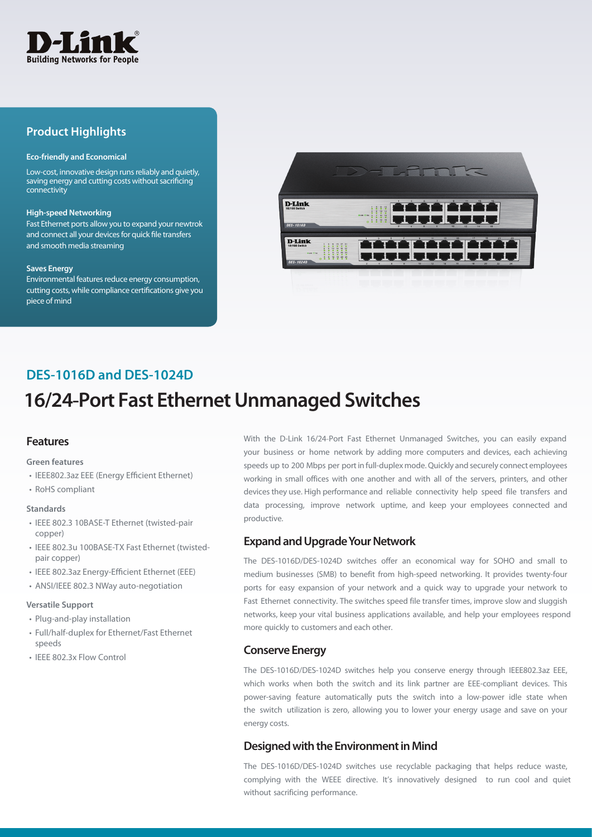

## **Product Highlights**

#### **Eco-friendly and Economical**

Low-cost, innovative design runs reliably and quietly, saving energy and cutting costs without sacrificing connectivity

#### **High-speed Networking**

Fast Ethernet ports allow you to expand your newtrok and connect all your devices for quick file transfers and smooth media streaming

#### **Saves Energy**

Environmental features reduce energy consumption, cutting costs, while compliance certifications give you piece of mind



## **DES-1016D and DES-1024D**

# **16/24**-**Port Fast Ethernet Unmanaged Switches**

## **Features**

#### **Green features**

- IEEE802.3az EEE (Energy Efficient Ethernet)
- RoHS compliant

#### **Standards**

- IEEE 802.3 10BASE-T Ethernet (twisted-pair copper)
- IEEE 802.3u 100BASE-TX Fast Ethernet (twistedpair copper)
- IEEE 802.3az Energy-Efficient Ethernet (EEE)
- ANSI/IEEE 802.3 NWay auto-negotiation

#### **Versatile Support**

- Plug-and-play installation
- Full/half-duplex for Ethernet/Fast Ethernet speeds
- IEEE 802.3x Flow Control

With the D-Link 16/24-Port Fast Ethernet Unmanaged Switches, you can easily expand your business or home network by adding more computers and devices, each achieving speeds up to 200 Mbps per port in full-duplex mode. Quickly and securely connect employees working in small offices with one another and with all of the servers, printers, and other devices they use. High performance and reliable connectivity help speed file transfers and data processing, improve network uptime, and keep your employees connected and productive.

## **Expand and Upgrade Your Network**

The DES-1016D/DES-1024D switches offer an economical way for SOHO and small to medium businesses (SMB) to benefit from high-speed networking. It provides twenty-four ports for easy expansion of your network and a quick way to upgrade your network to Fast Ethernet connectivity. The switches speed file transfer times, improve slow and sluggish networks, keep your vital business applications available, and help your employees respond more quickly to customers and each other.

### **Conserve Energy**

The DES-1016D/DES-1024D switches help you conserve energy through IEEE802.3az EEE, which works when both the switch and its link partner are EEE-compliant devices. This power-saving feature automatically puts the switch into a low-power idle state when the switch utilization is zero, allowing you to lower your energy usage and save on your energy costs.

## **Designed with the Environment in Mind**

The DES-1016D/DES-1024D switches use recyclable packaging that helps reduce waste, complying with the WEEE directive. It's innovatively designed to run cool and quiet without sacrificing performance.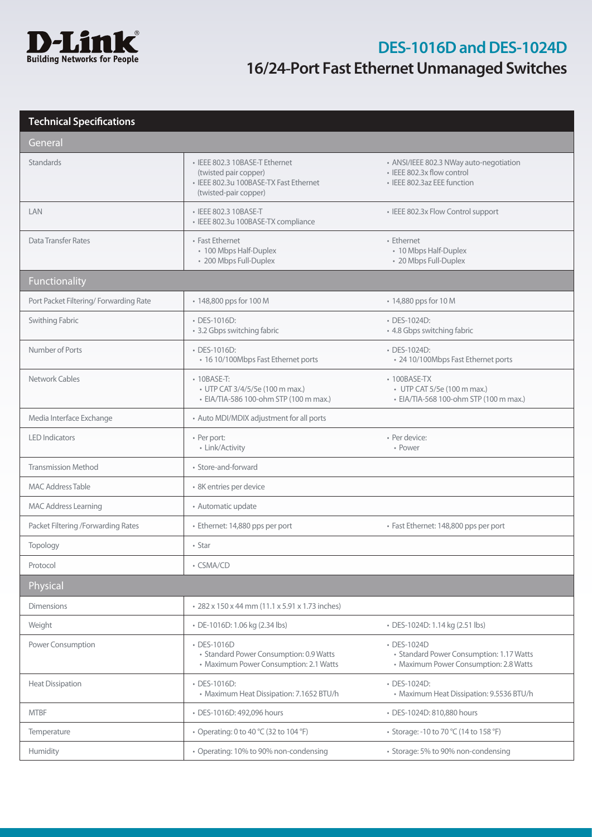

# **DES-1016D and DES-1024D 16/24**-**Port Fast Ethernet Unmanaged Switches**

## **Technical Specifications**

| General                               |                                                                                                                            |                                                                                                      |  |
|---------------------------------------|----------------------------------------------------------------------------------------------------------------------------|------------------------------------------------------------------------------------------------------|--|
| Standards                             | • IEEE 802.3 10BASE-T Ethernet<br>(twisted pair copper)<br>· IEEE 802.3u 100BASE-TX Fast Ethernet<br>(twisted-pair copper) | • ANSI/IEEE 802.3 NWay auto-negotiation<br>· IFFF 802.3x flow control<br>· IEEE 802.3az EEE function |  |
| LAN                                   | • IEEE 802.3 10BASE-T<br>· IEEE 802.3u 100BASE-TX compliance                                                               | • IEEE 802.3x Flow Control support                                                                   |  |
| <b>Data Transfer Rates</b>            | • Fast Ethernet<br>• 100 Mbps Half-Duplex<br>• 200 Mbps Full-Duplex                                                        | • Ethernet<br>• 10 Mbps Half-Duplex<br>• 20 Mbps Full-Duplex                                         |  |
| <b>Functionality</b>                  |                                                                                                                            |                                                                                                      |  |
| Port Packet Filtering/Forwarding Rate | • 148,800 pps for 100 M                                                                                                    | • 14,880 pps for 10 M                                                                                |  |
| Swithing Fabric                       | • DES-1016D:<br>• 3.2 Gbps switching fabric                                                                                | • DES-1024D:<br>• 4.8 Gbps switching fabric                                                          |  |
| Number of Ports                       | • DES-1016D:<br>• 16 10/100Mbps Fast Ethernet ports                                                                        | • DES-1024D:<br>• 24 10/100Mbps Fast Ethernet ports                                                  |  |
| Network Cables                        | $\cdot$ 10BASE-T:<br>• UTP CAT 3/4/5/5e (100 m max.)<br>· EIA/TIA-586 100-ohm STP (100 m max.)                             | $\cdot$ 100BASE-TX<br>• UTP CAT 5/5e (100 m max.)<br>· EIA/TIA-568 100-ohm STP (100 m max.)          |  |
| Media Interface Exchange              | • Auto MDI/MDIX adjustment for all ports                                                                                   |                                                                                                      |  |
| <b>LED Indicators</b>                 | • Per port:<br>• Link/Activity                                                                                             | • Per device:<br>• Power                                                                             |  |
| <b>Transmission Method</b>            | · Store-and-forward                                                                                                        |                                                                                                      |  |
| <b>MAC Address Table</b>              | · 8K entries per device                                                                                                    |                                                                                                      |  |
| <b>MAC Address Learning</b>           | • Automatic update                                                                                                         |                                                                                                      |  |
| Packet Filtering /Forwarding Rates    | · Ethernet: 14,880 pps per port                                                                                            | · Fast Ethernet: 148,800 pps per port                                                                |  |
| Topology                              | • Star                                                                                                                     |                                                                                                      |  |
| Protocol                              | • CSMA/CD                                                                                                                  |                                                                                                      |  |
| Physical                              |                                                                                                                            |                                                                                                      |  |
| <b>Dimensions</b>                     | • 282 x 150 x 44 mm (11.1 x 5.91 x 1.73 inches)                                                                            |                                                                                                      |  |
| Weight                                | · DE-1016D: 1.06 kg (2.34 lbs)                                                                                             | · DES-1024D: 1.14 kg (2.51 lbs)                                                                      |  |
| Power Consumption                     | • DES-1016D<br>• Standard Power Consumption: 0.9 Watts<br>• Maximum Power Consumption: 2.1 Watts                           | • DES-1024D<br>• Standard Power Consumption: 1.17 Watts<br>• Maximum Power Consumption: 2.8 Watts    |  |
| <b>Heat Dissipation</b>               | • DES-1016D:<br>• Maximum Heat Dissipation: 7.1652 BTU/h                                                                   | • DES-1024D:<br>• Maximum Heat Dissipation: 9.5536 BTU/h                                             |  |
| <b>MTBF</b>                           | • DES-1016D: 492,096 hours                                                                                                 | · DES-1024D: 810,880 hours                                                                           |  |
| Temperature                           | • Operating: 0 to 40 °C (32 to 104 °F)                                                                                     | • Storage: -10 to 70 °C (14 to 158 °F)                                                               |  |
| Humidity                              | • Operating: 10% to 90% non-condensing                                                                                     | • Storage: 5% to 90% non-condensing                                                                  |  |